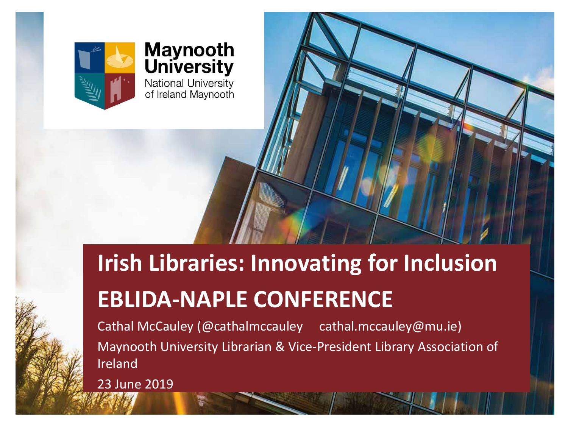

#### **Maynooth**<br>University National University<br>of Ireland Maynooth

### **Irish Libraries: Innovating for Inclusion EBLIDA-NAPLE CONFERENCE**

Cathal McCauley (@cathalmccauley cathal.mccauley@mu.ie) Maynooth University Librarian & Vice-President Library Association of Ireland

23 June 2019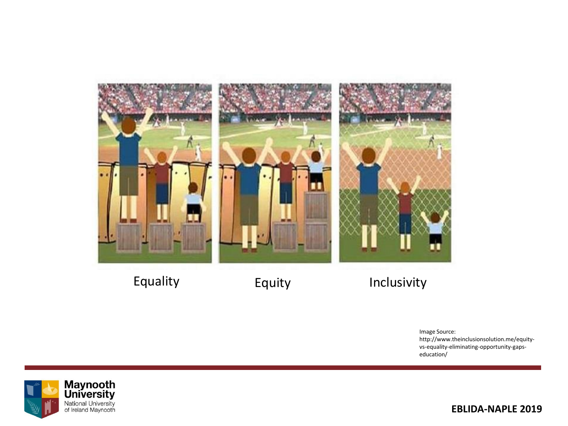

Equality **Equity** Equity Inclusivity

Image Source: http://www.theinclusionsolution.me/equityvs-equality-eliminating-opportunity-gapseducation/



**EBLIDA-NAPLE 2019**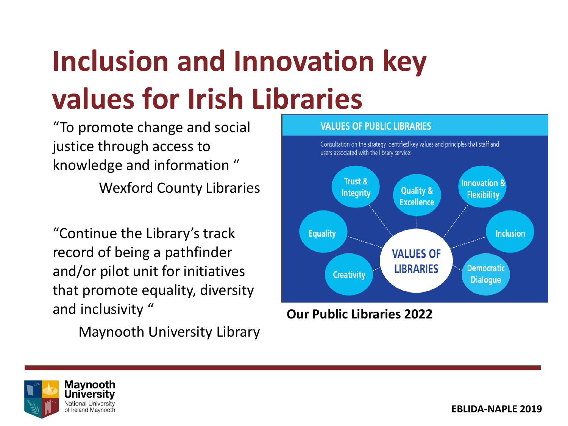# **Inclusion and Innovation key values for Irish Libraries**

"To promote change and social justice through access to knowledge and information " Wexford County Libraries

"Continue the Library's track record of being a pathfinder and/or pilot unit for initiatives that promote equality, diversity and inclusivity "

Maynooth University Library



**Our Public Libraries 2022**

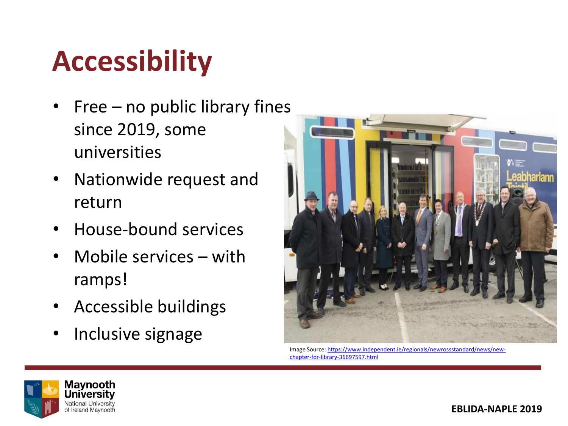## **Accessibility**

- $Free no$  public library fines since 2019, some universities
- Nationwide request and return
- House-bound services
- Mobile services with ramps!
- Accessible buildings
- Inclusive signage



[Image Source: https://www.independent.ie/regionals/newrossstandard/news/new](https://www.independent.ie/regionals/newrossstandard/news/new-chapter-for-library-36697597.html)chapter-for-library-36697597.html

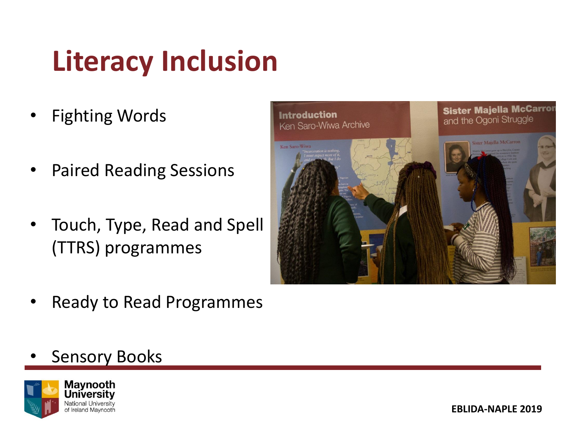## **Literacy Inclusion**

- **Fighting Words**
- Paired Reading Sessions
- Touch, Type, Read and Spell (TTRS) programmes
- Sister Majella McCarror **Introduction** and the Ogoni Struggle Ken Saro-Wiwa Archive Maialla McCart Ken Saro-Wiw
- Ready to Read Programmes
- **Sensory Books**



**EBLIDA-NAPLE 2019**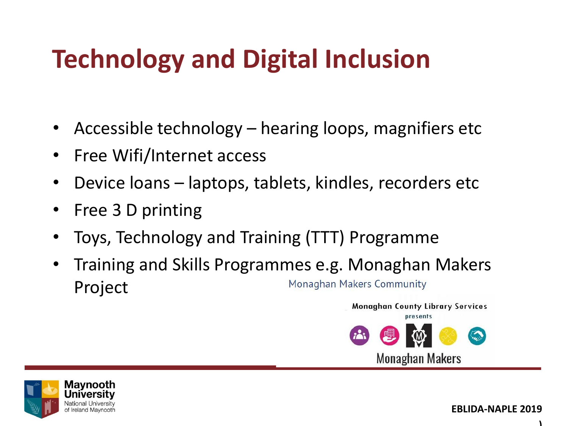### **Technology and Digital Inclusion**

- Accessible technology hearing loops, magnifiers etc
- Free Wifi/Internet access
- Device loans laptops, tablets, kindles, recorders etc
- Free 3 D printing
- Toys, Technology and Training (TTT) Programme
- Training and Skills Programmes e.g. Monaghan Makers **Monaghan Makers Community** Project





**)**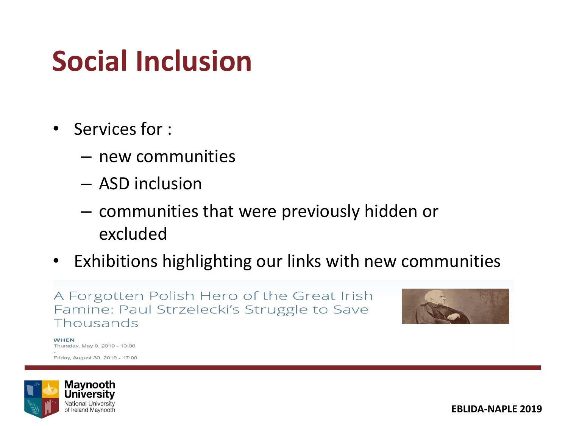## **Social Inclusion**

- Services for :
	- new communities
	- ASD inclusion
	- communities that were previously hidden or excluded
- Exhibitions highlighting our links with new communities

A Forgotten Polish Hero of the Great Irish Famine: Paul Strzelecki's Struggle to Save Thousands



**WHEN** Thursday, May 9, 2019 - 10:00

Friday, August 30, 2019 - 17:00



**EBLIDA-NAPLE 2019**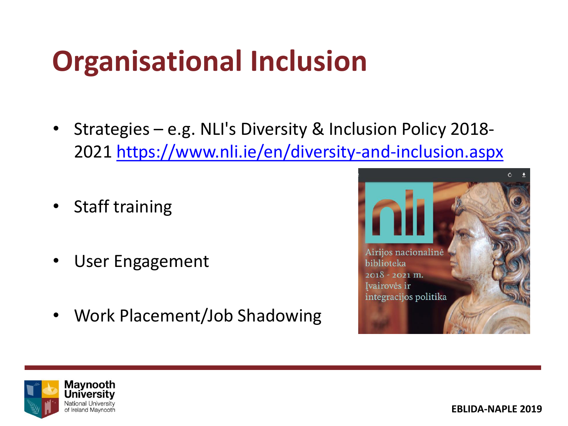## **Organisational Inclusion**

- Strategies e.g. NLI's Diversity & Inclusion Policy 2018- 2021 <https://www.nli.ie/en/diversity-and-inclusion.aspx>
- Staff training
- User Engagement
- Work Placement/Job Shadowing